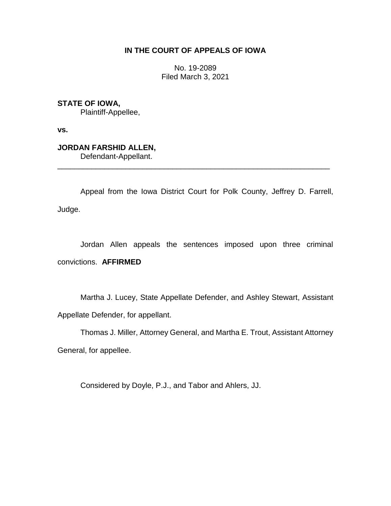## **IN THE COURT OF APPEALS OF IOWA**

No. 19-2089 Filed March 3, 2021

**STATE OF IOWA,**

Plaintiff-Appellee,

**vs.**

## **JORDAN FARSHID ALLEN,**

Defendant-Appellant.

Appeal from the Iowa District Court for Polk County, Jeffrey D. Farrell, Judge.

\_\_\_\_\_\_\_\_\_\_\_\_\_\_\_\_\_\_\_\_\_\_\_\_\_\_\_\_\_\_\_\_\_\_\_\_\_\_\_\_\_\_\_\_\_\_\_\_\_\_\_\_\_\_\_\_\_\_\_\_\_\_\_\_

Jordan Allen appeals the sentences imposed upon three criminal convictions. **AFFIRMED**

Martha J. Lucey, State Appellate Defender, and Ashley Stewart, Assistant Appellate Defender, for appellant.

Thomas J. Miller, Attorney General, and Martha E. Trout, Assistant Attorney General, for appellee.

Considered by Doyle, P.J., and Tabor and Ahlers, JJ.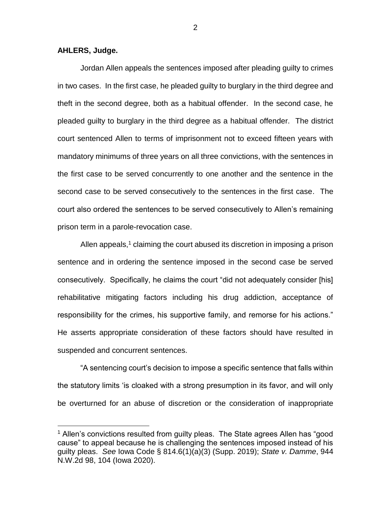## **AHLERS, Judge.**

 $\overline{a}$ 

Jordan Allen appeals the sentences imposed after pleading guilty to crimes in two cases. In the first case, he pleaded guilty to burglary in the third degree and theft in the second degree, both as a habitual offender. In the second case, he pleaded guilty to burglary in the third degree as a habitual offender. The district court sentenced Allen to terms of imprisonment not to exceed fifteen years with mandatory minimums of three years on all three convictions, with the sentences in the first case to be served concurrently to one another and the sentence in the second case to be served consecutively to the sentences in the first case. The court also ordered the sentences to be served consecutively to Allen's remaining prison term in a parole-revocation case.

Allen appeals,<sup>1</sup> claiming the court abused its discretion in imposing a prison sentence and in ordering the sentence imposed in the second case be served consecutively. Specifically, he claims the court "did not adequately consider [his] rehabilitative mitigating factors including his drug addiction, acceptance of responsibility for the crimes, his supportive family, and remorse for his actions." He asserts appropriate consideration of these factors should have resulted in suspended and concurrent sentences.

"A sentencing court's decision to impose a specific sentence that falls within the statutory limits 'is cloaked with a strong presumption in its favor, and will only be overturned for an abuse of discretion or the consideration of inappropriate

<sup>&</sup>lt;sup>1</sup> Allen's convictions resulted from guilty pleas. The State agrees Allen has "good cause" to appeal because he is challenging the sentences imposed instead of his guilty pleas. *See* Iowa Code § 814.6(1)(a)(3) (Supp. 2019); *State v. Damme*, 944 N.W.2d 98, 104 (Iowa 2020).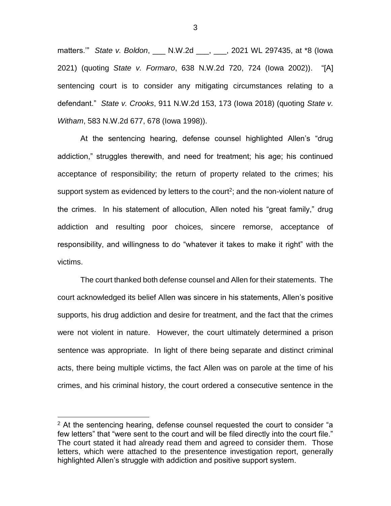matters.'" *State v. Boldon*, \_\_\_ N.W.2d \_\_\_, \_\_\_, 2021 WL 297435, at \*8 (Iowa 2021) (quoting *State v. Formaro*, 638 N.W.2d 720, 724 (Iowa 2002)). "[A] sentencing court is to consider any mitigating circumstances relating to a defendant." *State v. Crooks*, 911 N.W.2d 153, 173 (Iowa 2018) (quoting *State v. Witham*, 583 N.W.2d 677, 678 (Iowa 1998)).

At the sentencing hearing, defense counsel highlighted Allen's "drug addiction," struggles therewith, and need for treatment; his age; his continued acceptance of responsibility; the return of property related to the crimes; his support system as evidenced by letters to the court<sup>2</sup>; and the non-violent nature of the crimes. In his statement of allocution, Allen noted his "great family," drug addiction and resulting poor choices, sincere remorse, acceptance of responsibility, and willingness to do "whatever it takes to make it right" with the victims.

The court thanked both defense counsel and Allen for their statements. The court acknowledged its belief Allen was sincere in his statements, Allen's positive supports, his drug addiction and desire for treatment, and the fact that the crimes were not violent in nature. However, the court ultimately determined a prison sentence was appropriate. In light of there being separate and distinct criminal acts, there being multiple victims, the fact Allen was on parole at the time of his crimes, and his criminal history, the court ordered a consecutive sentence in the

 $\overline{a}$ 

<sup>&</sup>lt;sup>2</sup> At the sentencing hearing, defense counsel requested the court to consider "a few letters" that "were sent to the court and will be filed directly into the court file." The court stated it had already read them and agreed to consider them. Those letters, which were attached to the presentence investigation report, generally highlighted Allen's struggle with addiction and positive support system.